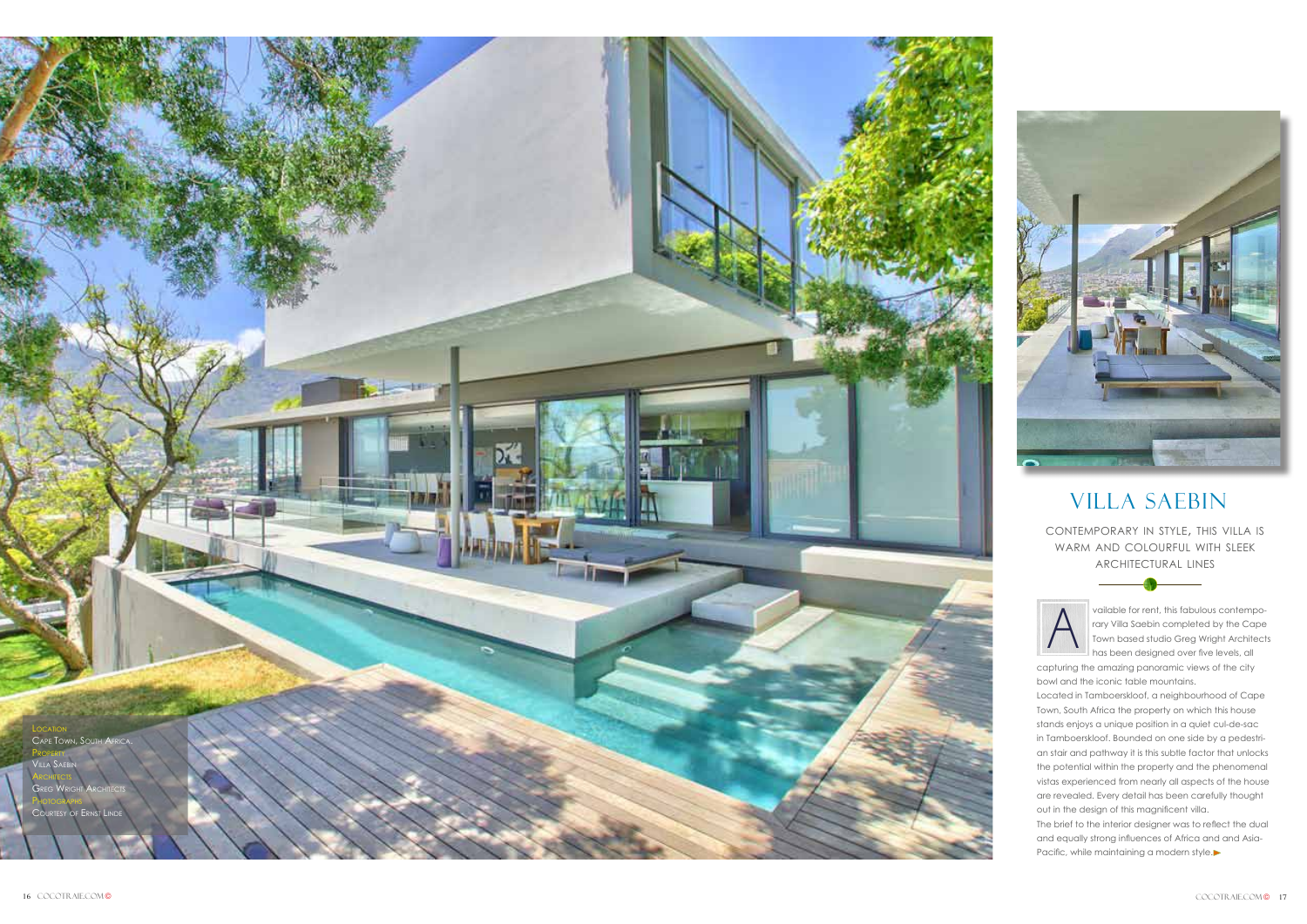vailable for rent, this fabulous contempo rary Villa Saebin completed by the Cape Town based studio Greg Wright Architects has been designed over five levels, all

capturing the amazing panoramic views of the city bowl and the iconic table mountains.

The brief to the interior designer was to reflect the dual and equally strong influences of Africa and and Asia-Pacific, while maintaining a modern style.

Located in Tamboerskloof, a neighbourhood of Cape Town, South Africa the property on which this house stands enjoys a unique position in a quiet cul-de-sac in Tamboerskloof. Bounded on one side by a pedestri an stair and pathway it is this subtle factor that unlocks the potential within the property and the phenomenal vistas experienced from nearly all aspects of the house are revealed. Every detail has been carefully thought out in the design of this magnificent villa.

## Villa SAebin

contemporary in style, this villa is warm and colourful with sleek architectural lines





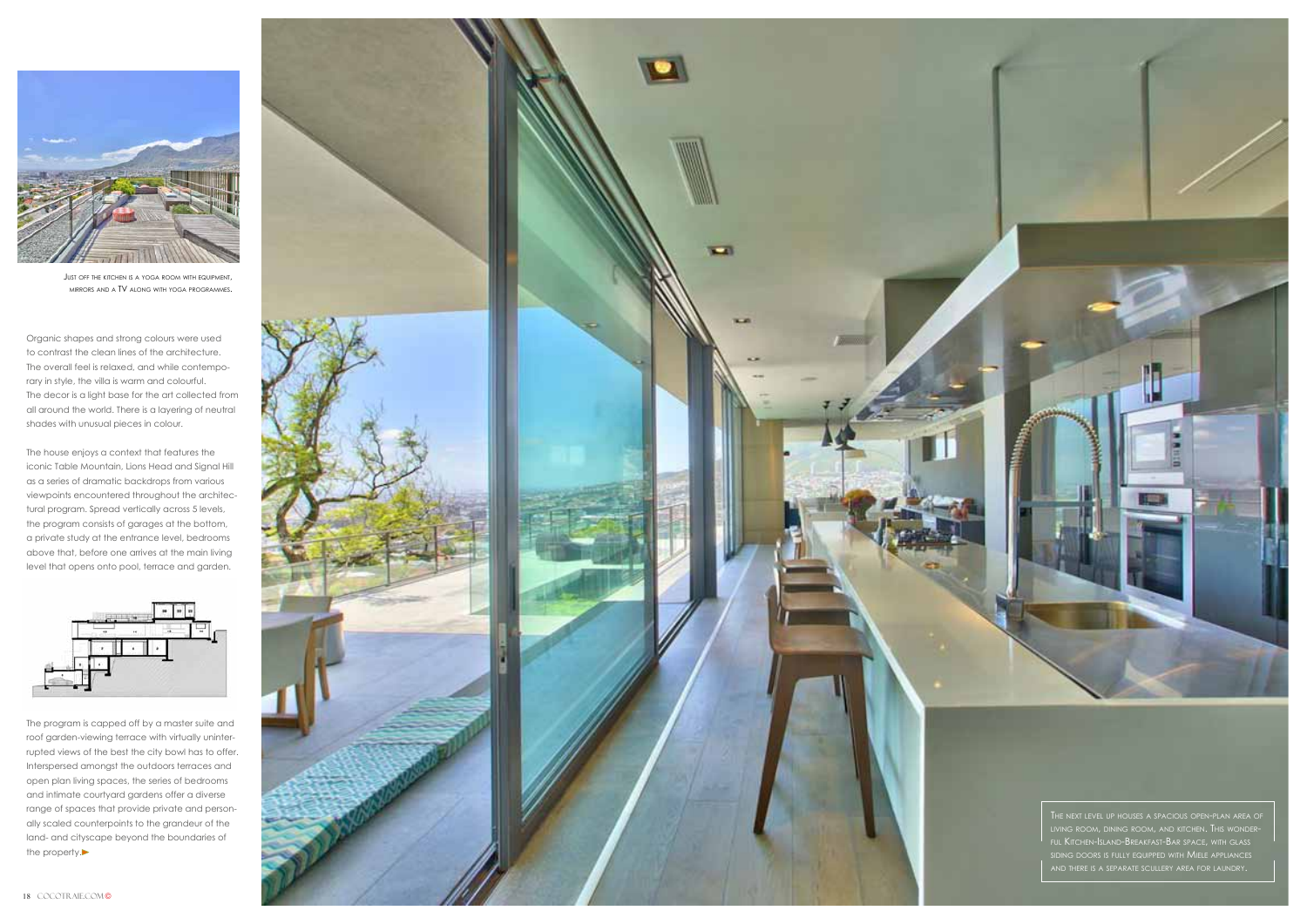

Just off the kitchen is a yoga room with equipment, g mirrors and <sup>a</sup> TV alon g with yo a pro grammes . g



The program is capped off by a master suite and roof garden-viewing terrace with virtually uninter rupted views of the best the city bowl has to offer. Interspersed amongst the outdoors terraces and open plan living spaces, the series of bedrooms and intimate courtyard gardens offer a diverse range of spaces that provide private and person ally scaled counterpoints to the grandeur of the land- and cityscape beyond the boundaries of the property.

Organic shapes and strong colours were used to contrast the clean lines of the architecture. The overall feel is relaxed, and while contempo rary in style, the villa is warm and colourful. The decor is a light base for the art collected from all around the world. There is a layering of neutral shades with unusual pieces in colour.

The house enjoys a context that features the iconic Table Mountain, Lions Head and Signal Hill as a series of dramatic backdrops from various viewpoints encountered throughout the architec tural program. Spread vertically across 5 levels, the program consists of garages at the bottom, a private study at the entrance level, bedrooms above that, before one arrives at the main living level that opens onto pool, terrace and garden.

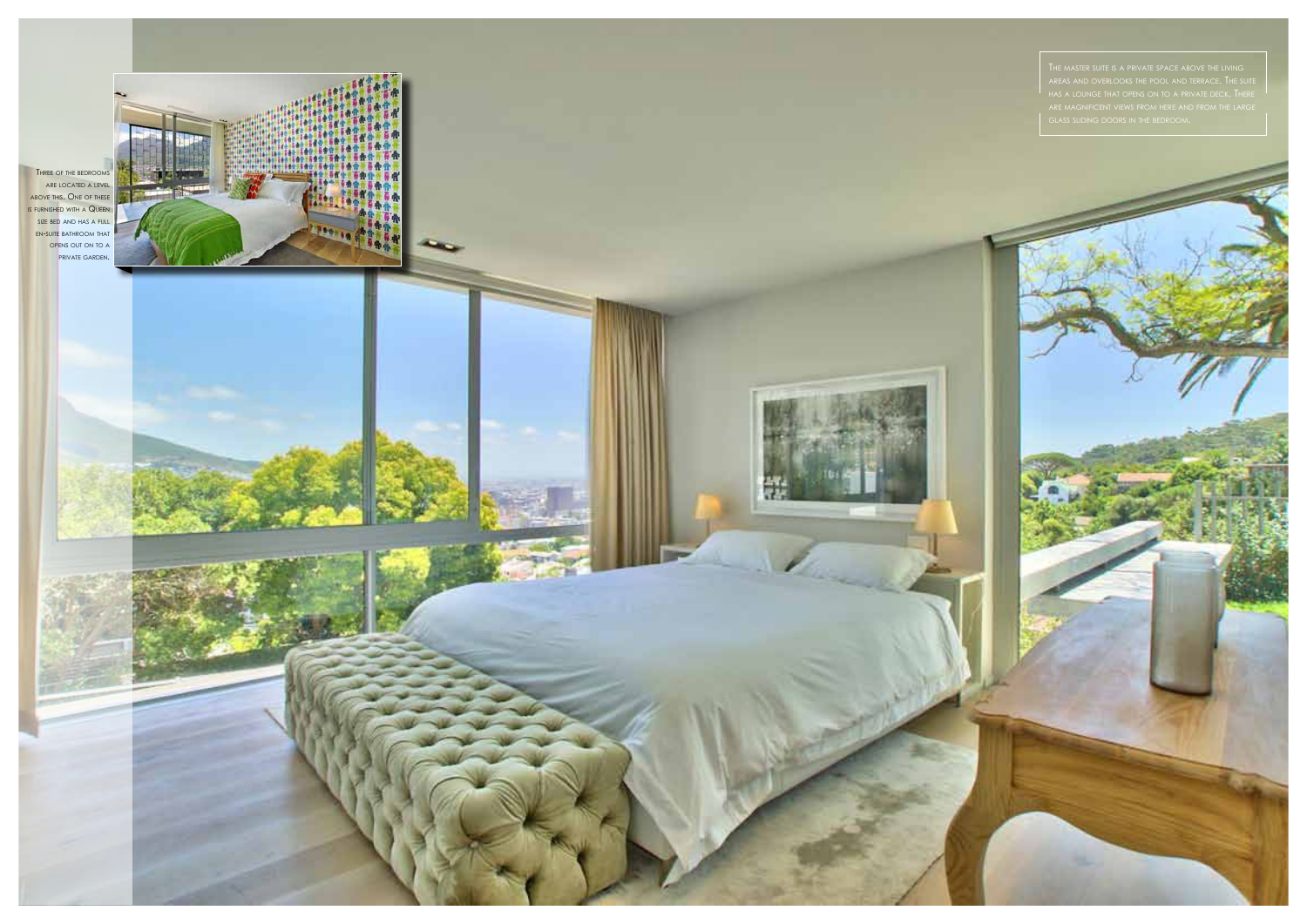

are ma gnificent views from here and from the lar e